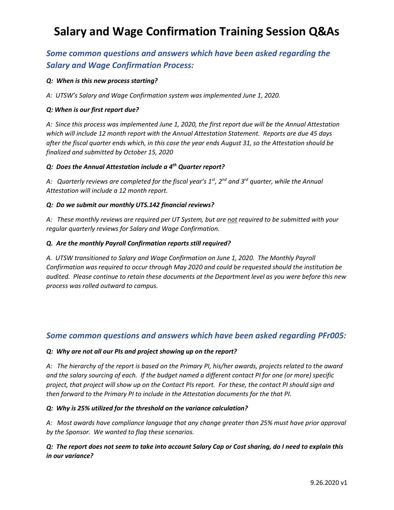## **Salary and Wage Confirmation Training Session Q&As**

## *Some common questions and answers which have been asked regarding the Salary and Wage Confirmation Process:*

#### *Q: When is this new process starting?*

*A: UTSW's Salary and Wage Confirmation system was implemented June 1, 2020.* 

#### *Q: When is our first report due?*

*A: Since this process was implemented June 1, 2020, the first report due will be the Annual Attestation which will include 12 month report with the Annual Attestation Statement. Reports are due 45 days after the fiscal quarter ends which, in this case the year ends August 31, so the Attestation should be finalized and submitted by October 15, 2020*

#### *Q: Does the Annual Attestation include a 4th Quarter report?*

*A: Quarterly reviews are completed for the fiscal year's 1st, 2nd and 3rd quarter, while the Annual Attestation will include a 12 month report.*

#### *Q: Do we submit our monthly UTS.142 financial reviews?*

*A: These monthly reviews are required per UT System, but are not required to be submitted with your regular quarterly reviews for Salary and Wage Confirmation.*

#### *Q. Are the monthly Payroll Confirmation reports still required?*

*A. UTSW transitioned to Salary and Wage Confirmation on June 1, 2020. The Monthly Payroll Confirmation was required to occur through May 2020 and could be requested should the institution be audited. Please continue to retain these documents at the Department level as you were before this new process was rolled outward to campus.*

## *Some common questions and answers which have been asked regarding PFr005:*

#### *Q: Why are not all our PIs and project showing up on the report?*

*A: The hierarchy of the report is based on the Primary PI, his/her awards, projects related to the award and the salary sourcing of each. If the budget named a different contact PI for one (or more) specific project, that project will show up on the Contact PIs report. For these, the contact PI should sign and then forward to the Primary PI to include in the Attestation documents for the that PI.*

#### *Q: Why is 25% utilized for the threshold on the variance calculation?*

*A: Most awards have compliance language that any change greater than 25% must have prior approval by the Sponsor. We wanted to flag these scenarios.*

## *Q: The report does not seem to take into account Salary Cap or Cost sharing, do I need to explain this in our variance?*